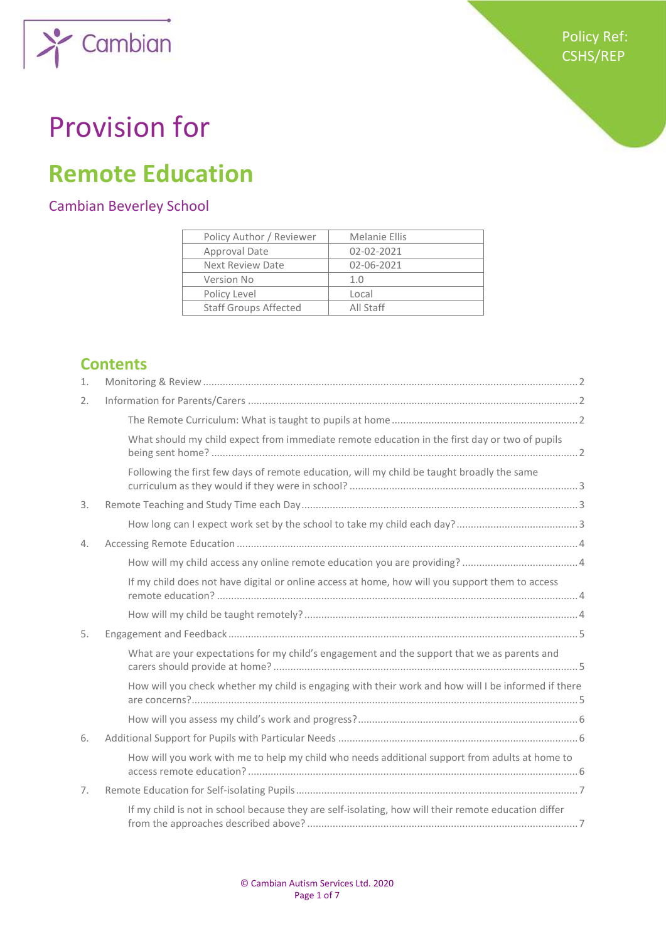

## Provision for

Cambian

### **Remote Education**

#### Cambian Beverley School

| Policy Author / Reviewer     | Melanie Ellis |
|------------------------------|---------------|
| Approval Date                | 02-02-2021    |
| Next Review Date             | 02-06-2021    |
| Version No                   | 1.0           |
| Policy Level                 | Local         |
| <b>Staff Groups Affected</b> | All Staff     |

#### **Contents**

| 1. |                                                                                                      |  |
|----|------------------------------------------------------------------------------------------------------|--|
| 2. |                                                                                                      |  |
|    |                                                                                                      |  |
|    | What should my child expect from immediate remote education in the first day or two of pupils        |  |
|    | Following the first few days of remote education, will my child be taught broadly the same           |  |
| 3. |                                                                                                      |  |
|    |                                                                                                      |  |
| 4. |                                                                                                      |  |
|    |                                                                                                      |  |
|    | If my child does not have digital or online access at home, how will you support them to access      |  |
|    |                                                                                                      |  |
| 5. |                                                                                                      |  |
|    | What are your expectations for my child's engagement and the support that we as parents and          |  |
|    | How will you check whether my child is engaging with their work and how will I be informed if there  |  |
|    |                                                                                                      |  |
| 6. |                                                                                                      |  |
|    | How will you work with me to help my child who needs additional support from adults at home to       |  |
| 7. |                                                                                                      |  |
|    | If my child is not in school because they are self-isolating, how will their remote education differ |  |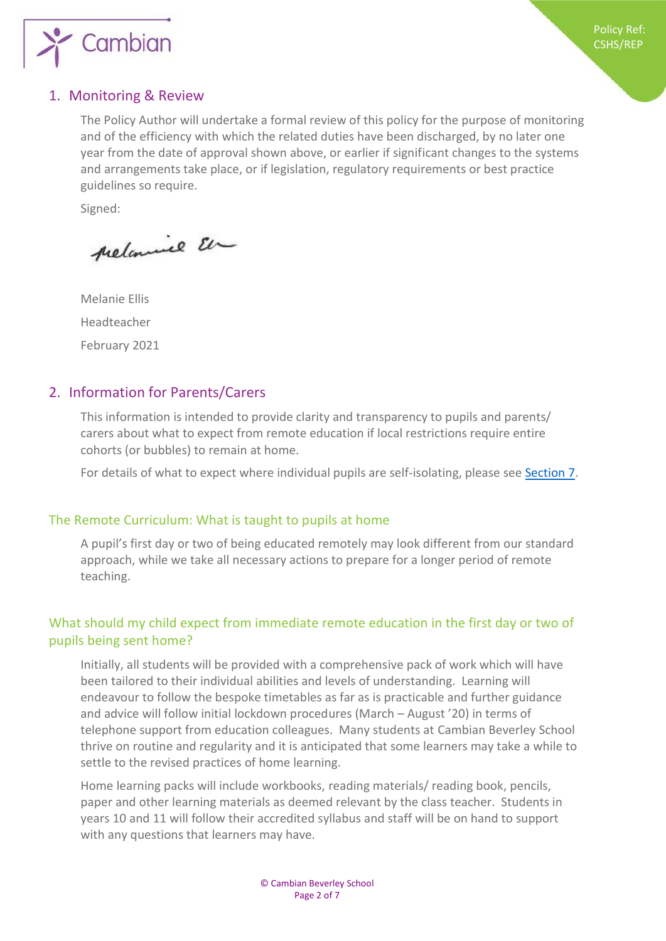

#### <span id="page-1-0"></span>1. Monitoring & Review

The Policy Author will undertake a formal review of this policy for the purpose of monitoring and of the efficiency with which the related duties have been discharged, by no later one year from the date of approval shown above, or earlier if significant changes to the systems and arrangements take place, or if legislation, regulatory requirements or best practice guidelines so require.

Signed:

prelamine En

Melanie Ellis Headteacher February 2021

#### <span id="page-1-1"></span>2. Information for Parents/Carers

This information is intended to provide clarity and transparency to pupils and parents/ carers about what to expect from remote education if local restrictions require entire cohorts (or bubbles) to remain at home.

For details of what to expect where individual pupils are self-isolating, please see [Section 7.](#page-6-0)

#### <span id="page-1-2"></span>The Remote Curriculum: What is taught to pupils at home

A pupil's first day or two of being educated remotely may look different from our standard approach, while we take all necessary actions to prepare for a longer period of remote teaching.

#### <span id="page-1-3"></span>What should my child expect from immediate remote education in the first day or two of pupils being sent home?

Initially, all students will be provided with a comprehensive pack of work which will have been tailored to their individual abilities and levels of understanding. Learning will endeavour to follow the bespoke timetables as far as is practicable and further guidance and advice will follow initial lockdown procedures (March – August '20) in terms of telephone support from education colleagues. Many students at Cambian Beverley School thrive on routine and regularity and it is anticipated that some learners may take a while to settle to the revised practices of home learning.

Home learning packs will include workbooks, reading materials/ reading book, pencils, paper and other learning materials as deemed relevant by the class teacher. Students in years 10 and 11 will follow their accredited syllabus and staff will be on hand to support with any questions that learners may have.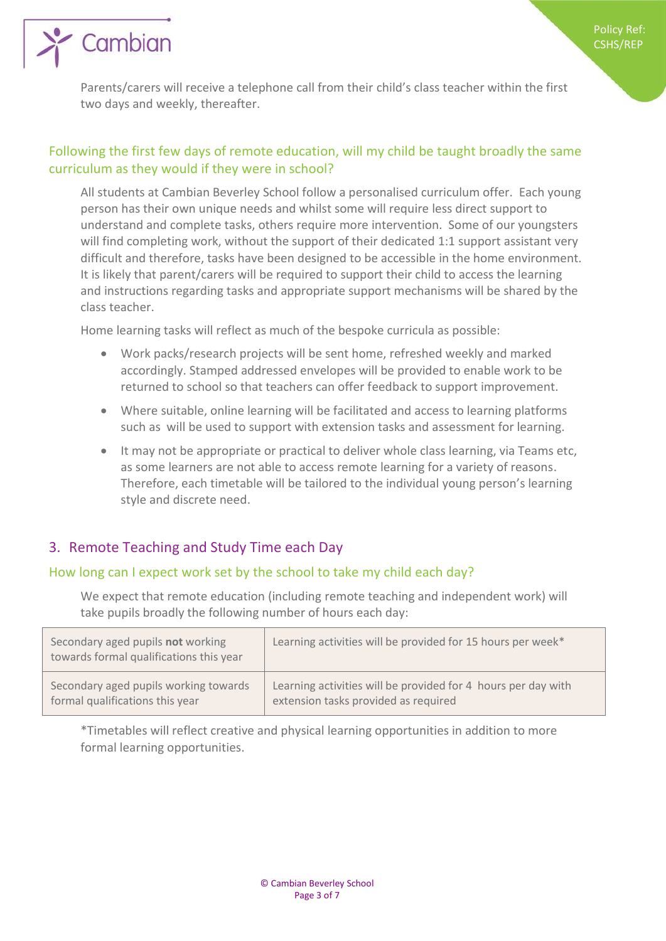Parents/carers will receive a telephone call from their child's class teacher within the first two days and weekly, thereafter.

#### <span id="page-2-0"></span>Following the first few days of remote education, will my child be taught broadly the same curriculum as they would if they were in school?

All students at Cambian Beverley School follow a personalised curriculum offer. Each young person has their own unique needs and whilst some will require less direct support to understand and complete tasks, others require more intervention. Some of our youngsters will find completing work, without the support of their dedicated 1:1 support assistant very difficult and therefore, tasks have been designed to be accessible in the home environment. It is likely that parent/carers will be required to support their child to access the learning and instructions regarding tasks and appropriate support mechanisms will be shared by the class teacher.

Home learning tasks will reflect as much of the bespoke curricula as possible:

- Work packs/research projects will be sent home, refreshed weekly and marked accordingly. Stamped addressed envelopes will be provided to enable work to be returned to school so that teachers can offer feedback to support improvement.
- Where suitable, online learning will be facilitated and access to learning platforms such as will be used to support with extension tasks and assessment for learning.
- It may not be appropriate or practical to deliver whole class learning, via Teams etc, as some learners are not able to access remote learning for a variety of reasons. Therefore, each timetable will be tailored to the individual young person's learning style and discrete need.

#### <span id="page-2-1"></span>3. Remote Teaching and Study Time each Day

' Cambian

#### <span id="page-2-2"></span>How long can I expect work set by the school to take my child each day?

We expect that remote education (including remote teaching and independent work) will take pupils broadly the following number of hours each day:

| Secondary aged pupils not working<br>towards formal qualifications this year | Learning activities will be provided for 15 hours per week*   |
|------------------------------------------------------------------------------|---------------------------------------------------------------|
| Secondary aged pupils working towards                                        | Learning activities will be provided for 4 hours per day with |
| formal qualifications this year                                              | extension tasks provided as required                          |

\*Timetables will reflect creative and physical learning opportunities in addition to more formal learning opportunities.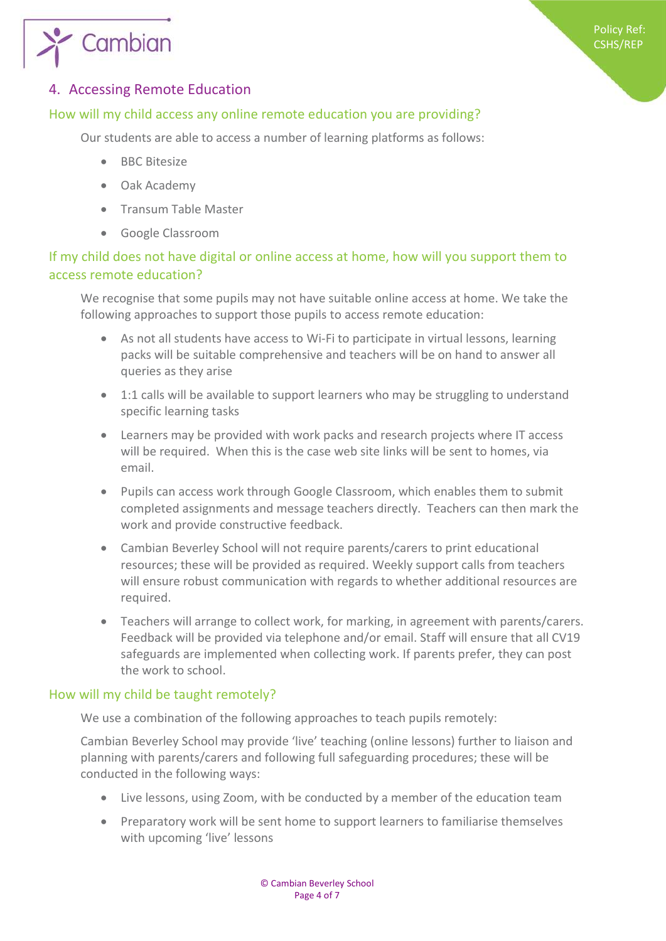

#### <span id="page-3-0"></span>4. Accessing Remote Education

#### <span id="page-3-1"></span>How will my child access any online remote education you are providing?

Our students are able to access a number of learning platforms as follows:

- BBC Bitesize
- Oak Academy
- Transum Table Master
- Google Classroom

#### <span id="page-3-2"></span>If my child does not have digital or online access at home, how will you support them to access remote education?

We recognise that some pupils may not have suitable online access at home. We take the following approaches to support those pupils to access remote education:

- As not all students have access to Wi-Fi to participate in virtual lessons, learning packs will be suitable comprehensive and teachers will be on hand to answer all queries as they arise
- 1:1 calls will be available to support learners who may be struggling to understand specific learning tasks
- Learners may be provided with work packs and research projects where IT access will be required. When this is the case web site links will be sent to homes, via email.
- Pupils can access work through Google Classroom, which enables them to submit completed assignments and message teachers directly. Teachers can then mark the work and provide constructive feedback.
- Cambian Beverley School will not require parents/carers to print educational resources; these will be provided as required. Weekly support calls from teachers will ensure robust communication with regards to whether additional resources are required.
- Teachers will arrange to collect work, for marking, in agreement with parents/carers. Feedback will be provided via telephone and/or email. Staff will ensure that all CV19 safeguards are implemented when collecting work. If parents prefer, they can post the work to school.

#### <span id="page-3-3"></span>How will my child be taught remotely?

We use a combination of the following approaches to teach pupils remotely:

Cambian Beverley School may provide 'live' teaching (online lessons) further to liaison and planning with parents/carers and following full safeguarding procedures; these will be conducted in the following ways:

- Live lessons, using Zoom, with be conducted by a member of the education team
- Preparatory work will be sent home to support learners to familiarise themselves with upcoming 'live' lessons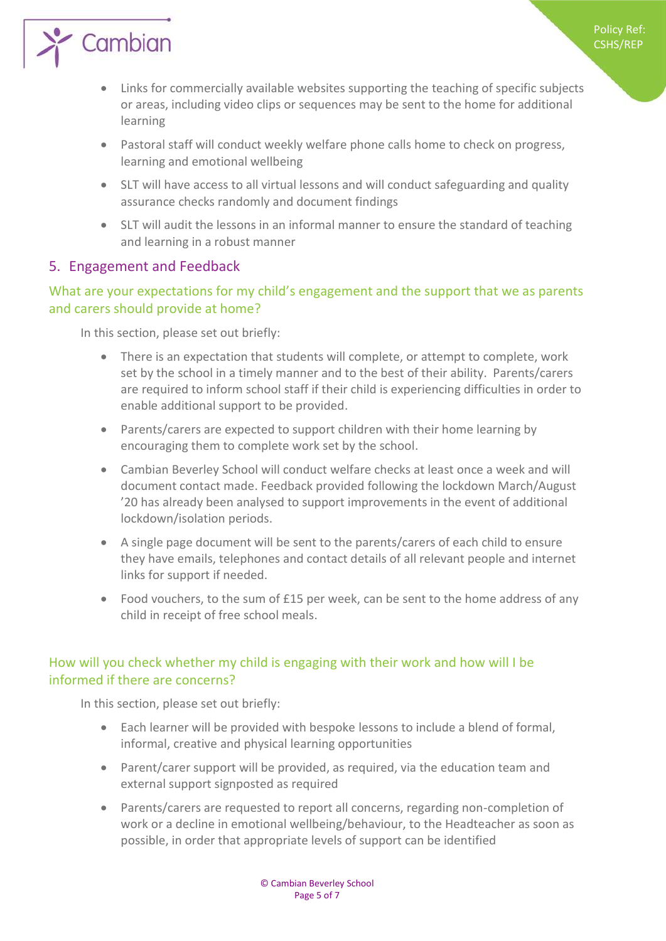

# $\sum$  Cambian

- Links for commercially available websites supporting the teaching of specific subjects or areas, including video clips or sequences may be sent to the home for additional learning
- Pastoral staff will conduct weekly welfare phone calls home to check on progress, learning and emotional wellbeing
- SLT will have access to all virtual lessons and will conduct safeguarding and quality assurance checks randomly and document findings
- SLT will audit the lessons in an informal manner to ensure the standard of teaching and learning in a robust manner

#### <span id="page-4-0"></span>5. Engagement and Feedback

#### <span id="page-4-1"></span>What are your expectations for my child's engagement and the support that we as parents and carers should provide at home?

In this section, please set out briefly:

- There is an expectation that students will complete, or attempt to complete, work set by the school in a timely manner and to the best of their ability. Parents/carers are required to inform school staff if their child is experiencing difficulties in order to enable additional support to be provided.
- Parents/carers are expected to support children with their home learning by encouraging them to complete work set by the school.
- Cambian Beverley School will conduct welfare checks at least once a week and will document contact made. Feedback provided following the lockdown March/August '20 has already been analysed to support improvements in the event of additional lockdown/isolation periods.
- A single page document will be sent to the parents/carers of each child to ensure they have emails, telephones and contact details of all relevant people and internet links for support if needed.
- Food vouchers, to the sum of £15 per week, can be sent to the home address of any child in receipt of free school meals.

#### <span id="page-4-2"></span>How will you check whether my child is engaging with their work and how will I be informed if there are concerns?

In this section, please set out briefly:

- Each learner will be provided with bespoke lessons to include a blend of formal, informal, creative and physical learning opportunities
- Parent/carer support will be provided, as required, via the education team and external support signposted as required
- Parents/carers are requested to report all concerns, regarding non-completion of work or a decline in emotional wellbeing/behaviour, to the Headteacher as soon as possible, in order that appropriate levels of support can be identified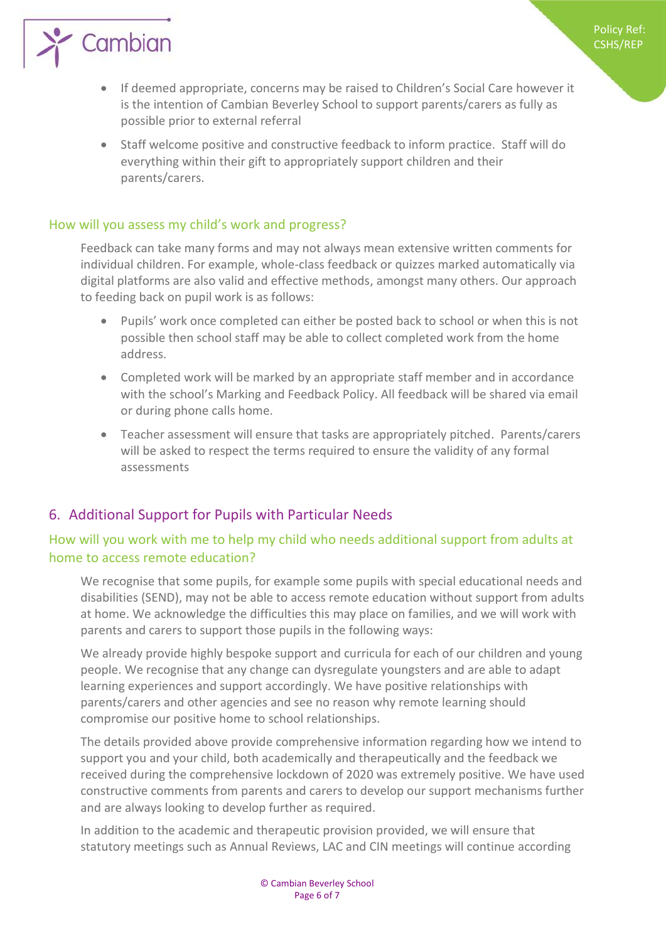

 If deemed appropriate, concerns may be raised to Children's Social Care however it is the intention of Cambian Beverley School to support parents/carers as fully as possible prior to external referral

Policy Ref: CSHS/REP

 Staff welcome positive and constructive feedback to inform practice. Staff will do everything within their gift to appropriately support children and their parents/carers.

#### <span id="page-5-0"></span>How will you assess my child's work and progress?

Feedback can take many forms and may not always mean extensive written comments for individual children. For example, whole-class feedback or quizzes marked automatically via digital platforms are also valid and effective methods, amongst many others. Our approach to feeding back on pupil work is as follows:

- Pupils' work once completed can either be posted back to school or when this is not possible then school staff may be able to collect completed work from the home address.
- Completed work will be marked by an appropriate staff member and in accordance with the school's Marking and Feedback Policy. All feedback will be shared via email or during phone calls home.
- Teacher assessment will ensure that tasks are appropriately pitched. Parents/carers will be asked to respect the terms required to ensure the validity of any formal assessments

#### <span id="page-5-1"></span>6. Additional Support for Pupils with Particular Needs

#### <span id="page-5-2"></span>How will you work with me to help my child who needs additional support from adults at home to access remote education?

We recognise that some pupils, for example some pupils with special educational needs and disabilities (SEND), may not be able to access remote education without support from adults at home. We acknowledge the difficulties this may place on families, and we will work with parents and carers to support those pupils in the following ways:

We already provide highly bespoke support and curricula for each of our children and young people. We recognise that any change can dysregulate youngsters and are able to adapt learning experiences and support accordingly. We have positive relationships with parents/carers and other agencies and see no reason why remote learning should compromise our positive home to school relationships.

The details provided above provide comprehensive information regarding how we intend to support you and your child, both academically and therapeutically and the feedback we received during the comprehensive lockdown of 2020 was extremely positive. We have used constructive comments from parents and carers to develop our support mechanisms further and are always looking to develop further as required.

In addition to the academic and therapeutic provision provided, we will ensure that statutory meetings such as Annual Reviews, LAC and CIN meetings will continue according